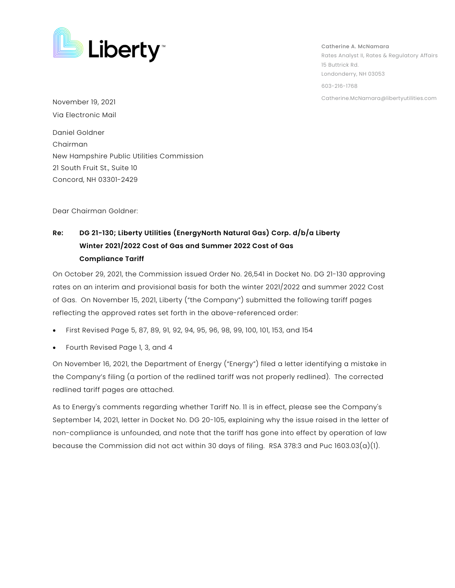

Catherine A. McNamara Rates Analyst II, Rates & Regulatory Affairs 15 Buttrick Rd. Londonderry, NH 03053 603-216-1768 Catherine.McNamara@libertyutilities.com November 19, 2021

Via Electronic Mail

Daniel Goldner Chairman New Hampshire Public Utilities Commission 21 South Fruit St., Suite 10 Concord, NH 03301-2429

Dear Chairman Goldner:

## **Re: DG 21-130; Liberty Utilities (EnergyNorth Natural Gas) Corp. d/b/a Liberty Winter 2021/2022 Cost of Gas and Summer 2022 Cost of Gas Compliance Tariff**

On October 29, 2021, the Commission issued Order No. 26,541 in Docket No. DG 21-130 approving rates on an interim and provisional basis for both the winter 2021/2022 and summer 2022 Cost of Gas. On November 15, 2021, Liberty ("the Company") submitted the following tariff pages reflecting the approved rates set forth in the above-referenced order:

- First Revised Page 5, 87, 89, 91, 92, 94, 95, 96, 98, 99, 100, 101, 153, and 154
- Fourth Revised Page 1, 3, and 4

On November 16, 2021, the Department of Energy ("Energy") filed a letter identifying a mistake in the Company's filing (a portion of the redlined tariff was not properly redlined). The corrected redlined tariff pages are attached.

As to Energy's comments regarding whether Tariff No. 11 is in effect, please see the Company's September 14, 2021, letter in Docket No. DG 20-105, explaining why the issue raised in the letter of non-compliance is unfounded, and note that the tariff has gone into effect by operation of law because the Commission did not act within 30 days of filing. RSA 378:3 and Puc 1603.03(a)(1).